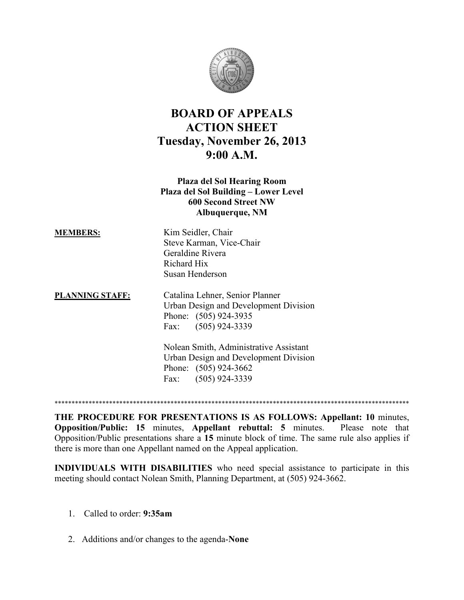

## **BOARD OF APPEALS ACTION SHEET Tuesday, November 26, 2013 9:00 A.M.**

## **Plaza del Sol Hearing Room Plaza del Sol Building – Lower Level 600 Second Street NW Albuquerque, NM**

| <b>MEMBERS:</b>        | Kim Seidler, Chair                     |
|------------------------|----------------------------------------|
|                        | Steve Karman, Vice-Chair               |
|                        | Geraldine Rivera                       |
|                        | Richard Hix                            |
|                        | Susan Henderson                        |
| <b>PLANNING STAFF:</b> | Catalina Lehner, Senior Planner        |
|                        | Urban Design and Development Division  |
|                        | Phone: (505) 924-3935                  |
|                        | Fax: (505) 924-3339                    |
|                        | Nolean Smith, Administrative Assistant |
|                        | Urban Design and Development Division  |
|                        | Phone: (505) 924-3662                  |
|                        | $(505)$ 924-3339<br>Fax:               |

\*\*\*\*\*\*\*\*\*\*\*\*\*\*\*\*\*\*\*\*\*\*\*\*\*\*\*\*\*\*\*\*\*\*\*\*\*\*\*\*\*\*\*\*\*\*\*\*\*\*\*\*\*\*\*\*\*\*\*\*\*\*\*\*\*\*\*\*\*\*\*\*\*\*\*\*\*\*\*\*\*\*\*\*\*\*\*\*\*\*\*\*\*\*\*\*\*\*\*\*\*\*\*\*

**THE PROCEDURE FOR PRESENTATIONS IS AS FOLLOWS: Appellant: 10** minutes, **Opposition/Public: 15** minutes, **Appellant rebuttal: 5** minutes.Please note that Opposition/Public presentations share a **15** minute block of time. The same rule also applies if there is more than one Appellant named on the Appeal application.

**INDIVIDUALS WITH DISABILITIES** who need special assistance to participate in this meeting should contact Nolean Smith, Planning Department, at (505) 924-3662.

- 1. Called to order: **9:35am**
- 2. Additions and/or changes to the agenda-**None**